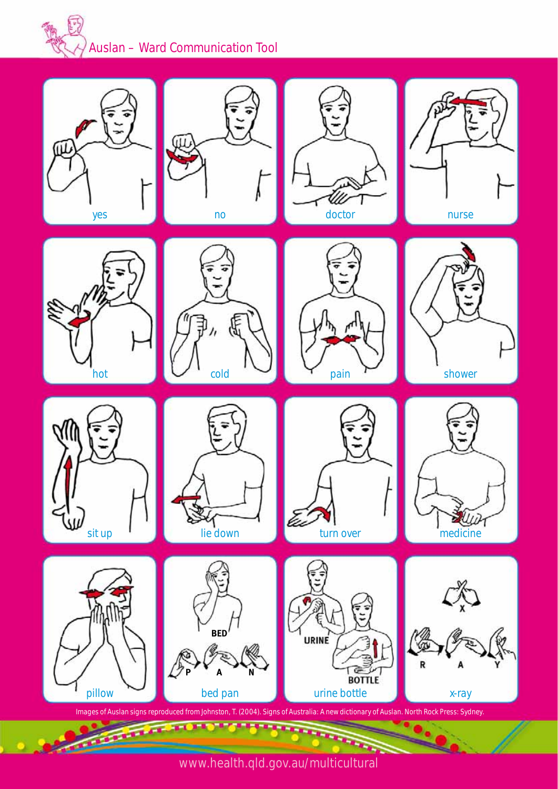## *Auslan – Ward Communication Tool*



www.health.qld.gov.au/multicultural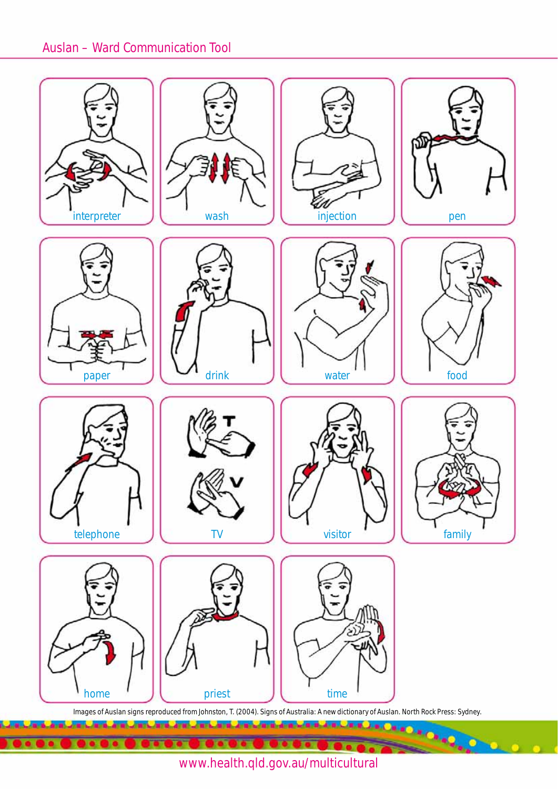

www.health.qld.gov.au/multicultural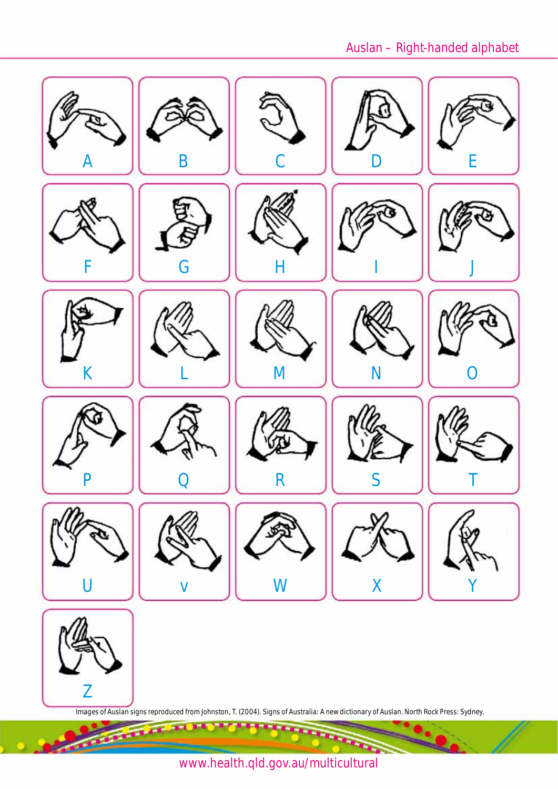## *Auslan – Right-handed alphabet*



www.health.qld.gov.au/multicultural